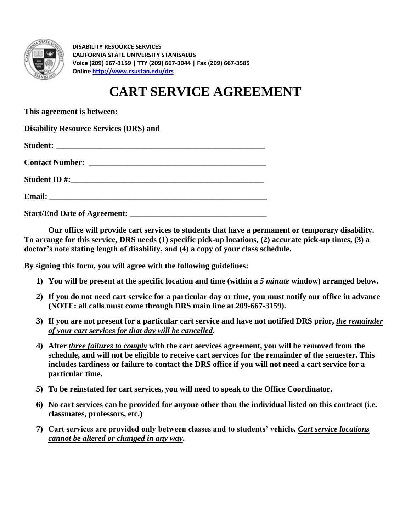

**DISABILITY RESOURCE SERVICES CALIFORNIA STATE UNIVERSITY STANISALUS Voice (209) 667-3159 | TTY (209) 667-3044 | Fax (209) 667-3585 Onlin[e http://www.csustan.edu/drs](http://www.csustan.edu/drs)** 

## **CART SERVICE AGREEMENT**

**This agreement is between:** 

**Disability Resource Services (DRS) and** 

**Start/End Date of Agreement: \_\_\_\_\_\_\_\_\_\_\_\_\_\_\_\_\_\_\_\_\_\_\_\_\_\_\_\_\_\_\_\_\_\_** 

**Our office will provide cart services to students that have a permanent or temporary disability. To arrange for this service, DRS needs (1) specific pick-up locations, (2) accurate pick-up times, (3) a doctor's note stating length of disability, and (4) a copy of your class schedule.** 

**By signing this form, you will agree with the following guidelines:** 

- **1) You will be present at the specific location and time (within a** *5 minute* **window) arranged below.**
- **2) If you do not need cart service for a particular day or time, you must notify our office in advance (NOTE: all calls must come through DRS main line at 209-667-3159).**
- **3) If you are not present for a particular cart service and have not notified DRS prior,** *the remainder of your cart services for that day will be cancelled***.**
- **4) After** *three failures to comply* **with the cart services agreement, you will be removed from the schedule, and will not be eligible to receive cart services for the remainder of the semester. This includes tardiness or failure to contact the DRS office if you will not need a cart service for a particular time.**
- **5) To be reinstated for cart services, you will need to speak to the Office Coordinator.**
- **6) No cart services can be provided for anyone other than the individual listed on this contract (i.e. classmates, professors, etc.)**
- **7) Cart services are provided only between classes and to students' vehicle.** *Cart service locations cannot be altered or changed in any way***.**